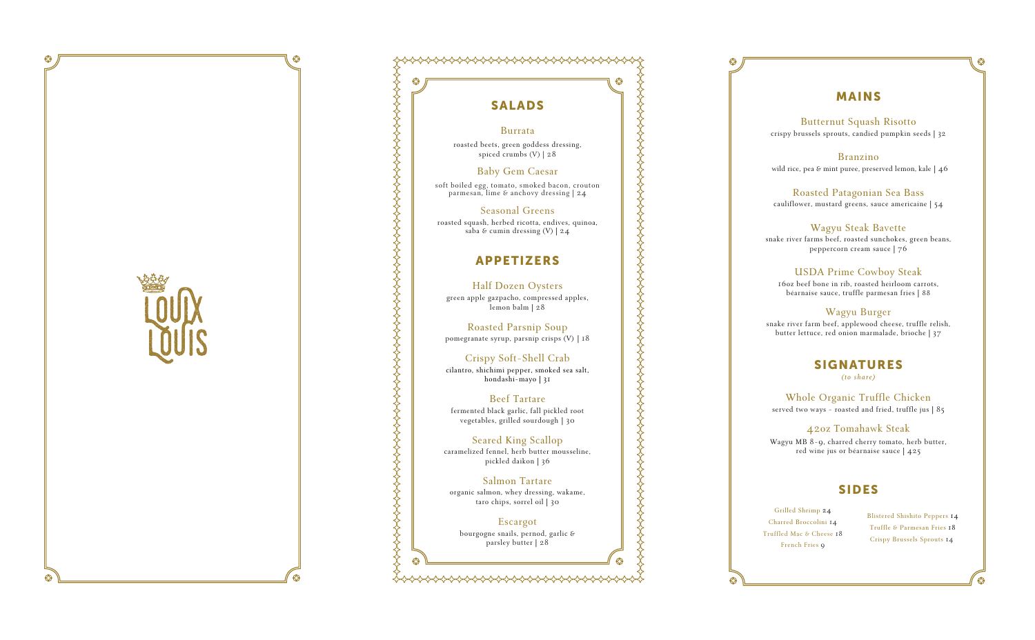

# <sup>⊗</sup>  $\otimes$

# SALADS

### Burrata

r oasted beets, g ree n g oddes s dressin g , s p i ced crumb s (V) | 2 8

### Bab y Gem Ca esar

soft boiled egg, tomato, smoked bacon, crouton parmesan, lime & anchovy dressing | 24

r oasted squash, he rbed r ico t ta, endives, quinoa, saba & cumin dressing  $(V)$  | 24

R oas t ed Pars nip So u p pomegranate syrup, parsnip crisps (V) | 18 ### Seasonal Greens

# APPETIZERS

Beef Tartare fe rmented b lack garlic, fa l l pickled root vege tab les, g rilled s ourdough | 30

Half Dozen Oysters green ap p le ga z pacho, comp ressed apples, lem o n balm | 2 8

Crispy Soft-Shell Crab cilantro, shichim i pe p per, smoked sea salt, h o nda shi-ma y o | 3 1

Seared King Scallop c a ramelized fe n nel, herb butter mousseline, p ick led daikon | 36

Salmon Tartare organic salm o n, whe y dressing, wakame, taro chi p s, sor rel oil | 30

**Escargot** b ourgogne s nai l s, pernod, garlic & parsley butter | 28

Whole Orga nic Tr uffl e Chick en served two ways - roasted and fried, truffle jus | 85

# MAINS

### Butternut Squash Risotto

crispy brussels sprouts, candied pumpkin seeds | 32

### Branzin o

wild rice, pea & mint puree, preserved lemon, kale | 46

### R oas t ed Patag o nian Se a Bass

cauliflower, mustard greens, sauce americaine | 54

### Wagyu Steak Bavette

s nake r i ver fa rms beef, roaste d sun chokes, green beans, pe p per c o r n cream sauce | 7 6

### US D A P rim e Cowboy St eak

1 6 oz beef b o ne i n r ib, r oasted heirloom car rots, béa r nai se sauce, t ruffle parmesan fries | 8 8

### Wagyu Burger

s nake r i ver farm beef, applewood cheese, truffle relish, butter lettuce, red onion marma lade, b r ioche | 3 7

# **SIGNATURES**

*(to share)* 

### 4 2 oz T omahawk S t eak

Wagyu MB 8-9, charred cherry tomato, herb butter, red wine jus or béarnaise sauce | 425

## SIDES

Grill ed S h rim p 24 Charred Broccolini 14 Truffled Mac & Cheese 18 French Fri e s 9

Blistered Shishito Peppers 14 Truffle & Parmesan Fries 18 Crispy Brussels Sprouts 14